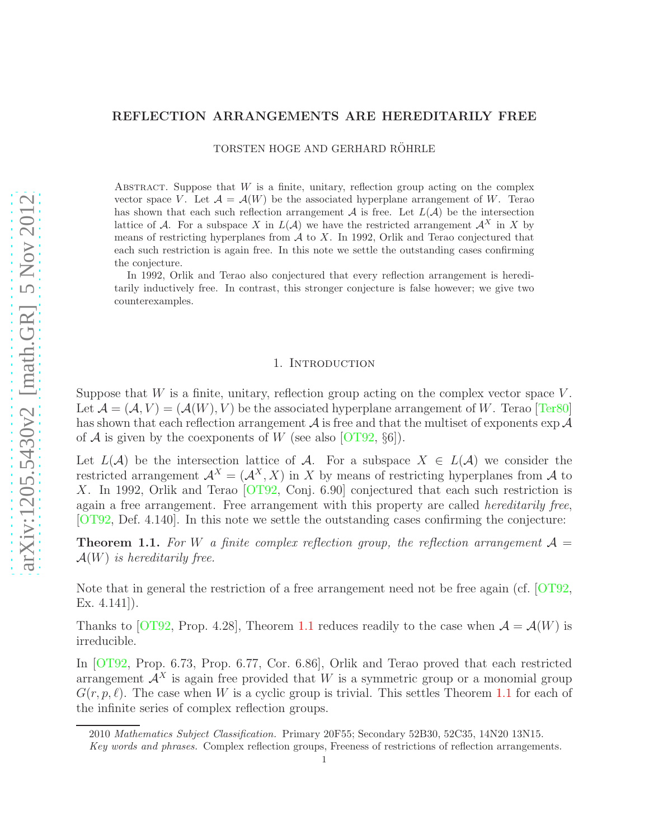# REFLECTION ARRANGEMENTS ARE HEREDITARILY FREE

TORSTEN HOGE AND GERHARD RÖHRLE

ABSTRACT. Suppose that  $W$  is a finite, unitary, reflection group acting on the complex vector space V. Let  $\mathcal{A} = \mathcal{A}(W)$  be the associated hyperplane arrangement of W. Terao has shown that each such reflection arrangement  $A$  is free. Let  $L(A)$  be the intersection lattice of A. For a subspace X in  $L(\mathcal{A})$  we have the restricted arrangement  $\mathcal{A}^X$  in X by means of restricting hyperplanes from  $A$  to  $X$ . In 1992, Orlik and Terao conjectured that each such restriction is again free. In this note we settle the outstanding cases confirming the conjecture.

In 1992, Orlik and Terao also conjectured that every reflection arrangement is hereditarily inductively free. In contrast, this stronger conjecture is false however; we give two counterexamples.

### 1. INTRODUCTION

Suppose that  $W$  is a finite, unitary, reflection group acting on the complex vector space  $V$ . Let  $\mathcal{A} = (\mathcal{A}, V) = (\mathcal{A}(W), V)$  be the associated hyperplane arrangement of W. Terao [\[Ter80\]](#page-5-0) has shown that each reflection arrangement  $A$  is free and that the multiset of exponents  $\exp A$ of A is given by the coexponents of W (see also [\[OT92,](#page-5-1)  $\S6$ ]).

Let  $L(\mathcal{A})$  be the intersection lattice of  $\mathcal{A}$ . For a subspace  $X \in L(\mathcal{A})$  we consider the restricted arrangement  $\mathcal{A}^X = (\mathcal{A}^X, X)$  in X by means of restricting hyperplanes from A to X. In 1992, Orlik and Terao [\[OT92,](#page-5-1) Conj. 6.90] conjectured that each such restriction is again a free arrangement. Free arrangement with this property are called *hereditarily free*, [\[OT92,](#page-5-1) Def. 4.140]. In this note we settle the outstanding cases confirming the conjecture:

<span id="page-0-0"></span>**Theorem 1.1.** For W a finite complex reflection group, the reflection arrangement  $\mathcal{A} =$  $\mathcal{A}(W)$  is hereditarily free.

Note that in general the restriction of a free arrangement need not be free again (cf. [\[OT92,](#page-5-1) Ex. 4.141]).

Thanks to [\[OT92,](#page-5-1) Prop. 4.28], Theorem [1.1](#page-0-0) reduces readily to the case when  $\mathcal{A} = \mathcal{A}(W)$  is irreducible.

In [\[OT92,](#page-5-1) Prop. 6.73, Prop. 6.77, Cor. 6.86], Orlik and Terao proved that each restricted arrangement  $\mathcal{A}^X$  is again free provided that W is a symmetric group or a monomial group  $G(r, p, \ell)$ . The case when W is a cyclic group is trivial. This settles Theorem [1.1](#page-0-0) for each of the infinite series of complex reflection groups.

<sup>2010</sup> Mathematics Subject Classification. Primary 20F55; Secondary 52B30, 52C35, 14N20 13N15.

Key words and phrases. Complex reflection groups, Freeness of restrictions of reflection arrangements.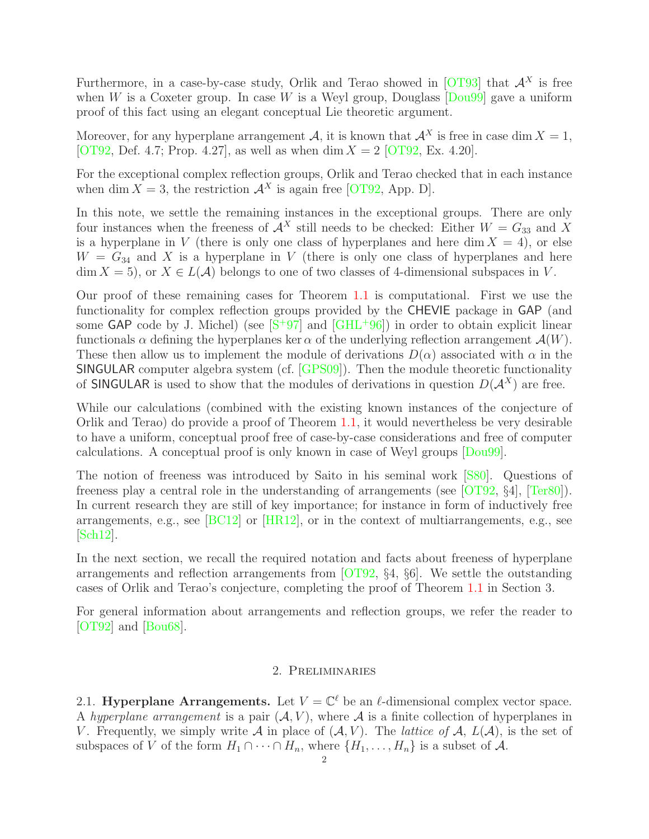Furthermore, in a case-by-case study, Orlik and Terao showed in [\[OT93\]](#page-5-2) that  $A<sup>X</sup>$  is free when W is a Coxeter group. In case W is a Weyl group, Douglass  $\lceil \text{Dou99} \rceil$  gave a uniform proof of this fact using an elegant conceptual Lie theoretic argument.

Moreover, for any hyperplane arrangement A, it is known that  $\mathcal{A}^X$  is free in case dim  $X = 1$ , [\[OT92,](#page-5-1) Def. 4.7; Prop. 4.27], as well as when dim  $X = 2$  [\[OT92,](#page-5-1) Ex. 4.20].

For the exceptional complex reflection groups, Orlik and Terao checked that in each instance when dim  $X = 3$ , the restriction  $\mathcal{A}^{X}$  is again free [\[OT92,](#page-5-1) App. D].

In this note, we settle the remaining instances in the exceptional groups. There are only four instances when the freeness of  $\mathcal{A}^X$  still needs to be checked: Either  $W = G_{33}$  and X is a hyperplane in V (there is only one class of hyperplanes and here dim  $X = 4$ ), or else  $W = G_{34}$  and X is a hyperplane in V (there is only one class of hyperplanes and here  $\dim X = 5$ , or  $X \in L(\mathcal{A})$  belongs to one of two classes of 4-dimensional subspaces in V.

Our proof of these remaining cases for Theorem [1.1](#page-0-0) is computational. First we use the functionality for complex reflection groups provided by the CHEVIE package in GAP (and some GAP code by J. Michel) (see  $[S+97]$  $[S+97]$  and  $[GHL+96]$ ) in order to obtain explicit linear functionals  $\alpha$  defining the hyperplanes ker  $\alpha$  of the underlying reflection arrangement  $\mathcal{A}(W)$ . These then allow us to implement the module of derivations  $D(\alpha)$  associated with  $\alpha$  in the SINGULAR computer algebra system (cf. [\[GPS09\]](#page-5-6)). Then the module theoretic functionality of SINGULAR is used to show that the modules of derivations in question  $D(A^X)$  are free.

While our calculations (combined with the existing known instances of the conjecture of Orlik and Terao) do provide a proof of Theorem [1.1,](#page-0-0) it would nevertheless be very desirable to have a uniform, conceptual proof free of case-by-case considerations and free of computer calculations. A conceptual proof is only known in case of Weyl groups [\[Dou99\]](#page-5-3).

The notion of freeness was introduced by Saito in his seminal work [\[S80\]](#page-5-7). Questions of freeness play a central role in the understanding of arrangements (see [\[OT92,](#page-5-1) §4], [\[Ter80\]](#page-5-0)). In current research they are still of key importance; for instance in form of inductively free arrangements, e.g., see [\[BC12\]](#page-5-8) or [\[HR12\]](#page-5-9), or in the context of multiarrangements, e.g., see [\[Sch12\]](#page-5-10).

In the next section, we recall the required notation and facts about freeness of hyperplane arrangements and reflection arrangements from [\[OT92,](#page-5-1) §4, §6]. We settle the outstanding cases of Orlik and Terao's conjecture, completing the proof of Theorem [1.1](#page-0-0) in Section 3.

For general information about arrangements and reflection groups, we refer the reader to [\[OT92\]](#page-5-1) and [\[Bou68\]](#page-5-11).

# 2. Preliminaries

2.1. Hyperplane Arrangements. Let  $V = \mathbb{C}^{\ell}$  be an  $\ell$ -dimensional complex vector space. A hyperplane arrangement is a pair  $(A, V)$ , where A is a finite collection of hyperplanes in V. Frequently, we simply write A in place of  $(A, V)$ . The *lattice of* A,  $L(A)$ , is the set of subspaces of V of the form  $H_1 \cap \cdots \cap H_n$ , where  $\{H_1, \ldots, H_n\}$  is a subset of A.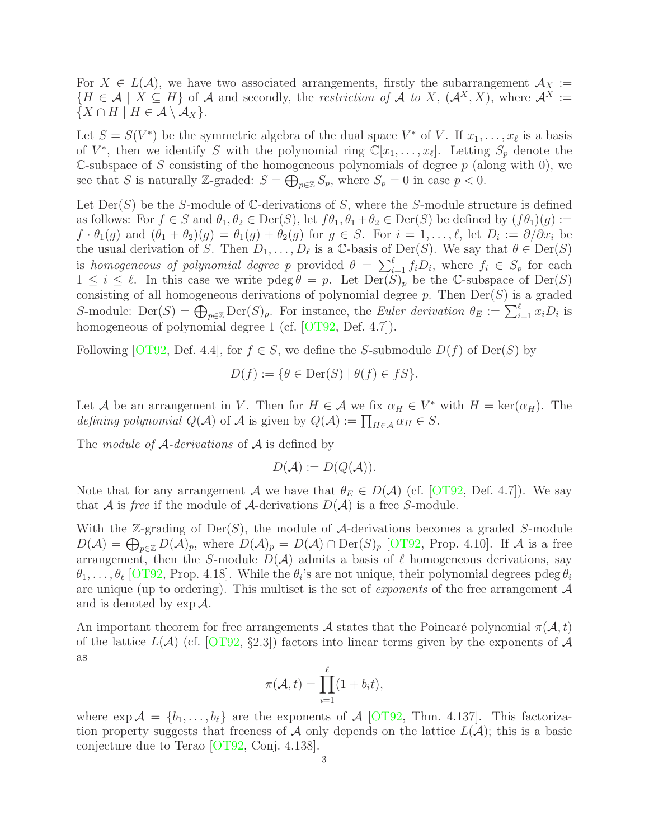For  $X \in L(\mathcal{A})$ , we have two associated arrangements, firstly the subarrangement  $\mathcal{A}_X :=$  ${H \in \mathcal{A} \mid X \subseteq H}$  of A and secondly, the restriction of A to X,  ${(\mathcal{A}^X, X)}$ , where  $\mathcal{A}^X :=$  $\{X \cap H \mid H \in \mathcal{A} \setminus \mathcal{A}_X\}.$ 

Let  $S = S(V^*)$  be the symmetric algebra of the dual space  $V^*$  of V. If  $x_1, \ldots, x_\ell$  is a basis of  $V^*$ , then we identify S with the polynomial ring  $\mathbb{C}[x_1,\ldots,x_\ell]$ . Letting  $S_p$  denote the C-subspace of S consisting of the homogeneous polynomials of degree  $p$  (along with 0), we see that S is naturally Z-graded:  $S = \bigoplus_{p \in \mathbb{Z}} S_p$ , where  $S_p = 0$  in case  $p < 0$ .

Let  $Der(S)$  be the S-module of C-derivations of S, where the S-module structure is defined as follows: For  $f \in S$  and  $\theta_1, \theta_2 \in \text{Der}(S)$ , let  $f\theta_1, \theta_1 + \theta_2 \in \text{Der}(S)$  be defined by  $(f\theta_1)(g) :=$  $f \cdot \theta_1(g)$  and  $(\theta_1 + \theta_2)(g) = \theta_1(g) + \theta_2(g)$  for  $g \in S$ . For  $i = 1, \ldots, \ell$ , let  $D_i := \partial/\partial x_i$  be the usual derivation of S. Then  $D_1, \ldots, D_\ell$  is a C-basis of Der(S). We say that  $\theta \in \text{Der}(S)$ is homogeneous of polynomial degree p provided  $\theta = \sum_{i=1}^{\ell} f_i D_i$ , where  $f_i \in S_p$  for each  $1 \leq i \leq \ell$ . In this case we write pdeg  $\theta = p$ . Let  $\text{Der}(S)_p$  be the C-subspace of  $\text{Der}(S)$ consisting of all homogeneous derivations of polynomial degree  $p$ . Then  $Der(S)$  is a graded S-module:  $\text{Der}(S) = \bigoplus_{p \in \mathbb{Z}} \text{Der}(S)_p$ . For instance, the Euler derivation  $\theta_E := \sum_{i=1}^{\ell} x_i D_i$  is homogeneous of polynomial degree 1 (cf. [\[OT92,](#page-5-1) Def. 4.7]).

Following [\[OT92,](#page-5-1) Def. 4.4], for  $f \in S$ , we define the S-submodule  $D(f)$  of Der(S) by

$$
D(f) := \{ \theta \in \text{Der}(S) \mid \theta(f) \in fS \}.
$$

Let A be an arrangement in V. Then for  $H \in \mathcal{A}$  we fix  $\alpha_H \in V^*$  with  $H = \text{ker}(\alpha_H)$ . The defining polynomial  $Q(\mathcal{A})$  of  $\mathcal{A}$  is given by  $Q(\mathcal{A}) := \prod_{H \in \mathcal{A}} \alpha_H \in S$ .

The *module of A-derivations* of  $A$  is defined by

$$
D(\mathcal{A}) := D(Q(\mathcal{A})).
$$

Note that for any arrangement A we have that  $\theta_E \in D(\mathcal{A})$  (cf. [\[OT92,](#page-5-1) Def. 4.7]). We say that A is free if the module of A-derivations  $D(A)$  is a free S-module.

With the  $\mathbb{Z}\text{-grading of Der}(S)$ , the module of A-derivations becomes a graded S-module  $D(\mathcal{A}) = \bigoplus_{p \in \mathbb{Z}} D(\mathcal{A})_p$ , where  $D(\mathcal{A})_p = D(\mathcal{A}) \cap \text{Der}(S)_p$  [\[OT92,](#page-5-1) Prop. 4.10]. If  $\mathcal{A}$  is a free arrangement, then the S-module  $D(\mathcal{A})$  admits a basis of  $\ell$  homogeneous derivations, say  $\theta_1,\ldots,\theta_\ell$  [\[OT92,](#page-5-1) Prop. 4.18]. While the  $\theta_i$ 's are not unique, their polynomial degrees pdeg  $\theta_i$ are unique (up to ordering). This multiset is the set of *exponents* of the free arrangement  $A$ and is denoted by  $\exp A$ .

An important theorem for free arrangements A states that the Poincaré polynomial  $\pi(\mathcal{A}, t)$ of the lattice  $L(\mathcal{A})$  (cf. [\[OT92,](#page-5-1) §2.3]) factors into linear terms given by the exponents of  $\mathcal{A}$ as

$$
\pi(\mathcal{A},t) = \prod_{i=1}^{\ell} (1+b_i t),
$$

where  $\exp A = \{b_1, \ldots, b_\ell\}$  are the exponents of A [\[OT92,](#page-5-1) Thm. 4.137]. This factorization property suggests that freeness of A only depends on the lattice  $L(\mathcal{A})$ ; this is a basic conjecture due to Terao [\[OT92,](#page-5-1) Conj. 4.138].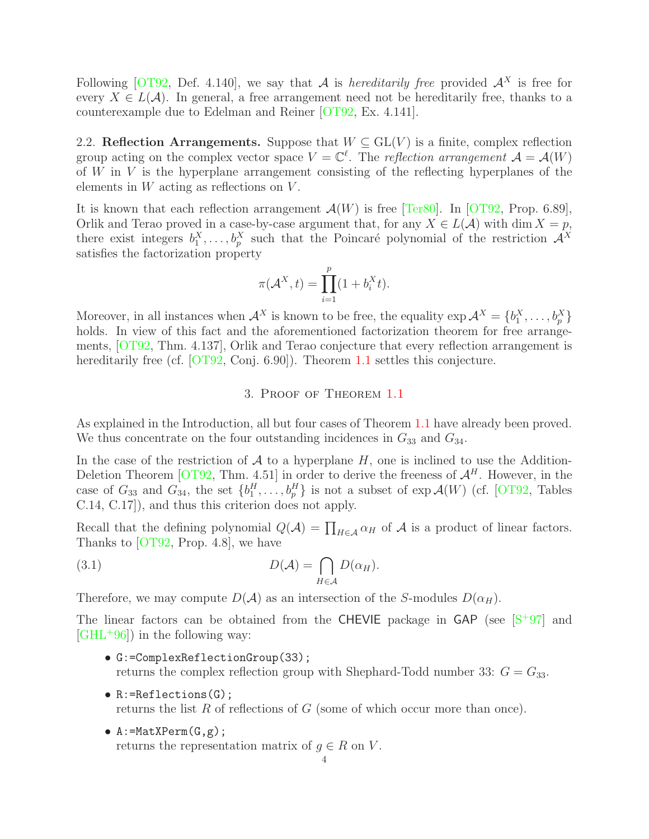Following [\[OT92,](#page-5-1) Def. 4.140], we say that A is *hereditarily free* provided  $A<sup>X</sup>$  is free for every  $X \in L(\mathcal{A})$ . In general, a free arrangement need not be hereditarily free, thanks to a counterexample due to Edelman and Reiner [\[OT92,](#page-5-1) Ex. 4.141].

2.2. Reflection Arrangements. Suppose that  $W \subseteq GL(V)$  is a finite, complex reflection group acting on the complex vector space  $V = \mathbb{C}^{\ell}$ . The reflection arrangement  $\mathcal{A} = \mathcal{A}(W)$ of  $W$  in  $V$  is the hyperplane arrangement consisting of the reflecting hyperplanes of the elements in  $W$  acting as reflections on  $V$ .

It is known that each reflection arrangement  $\mathcal{A}(W)$  is free [\[Ter80\]](#page-5-0). In [\[OT92,](#page-5-1) Prop. 6.89], Orlik and Terao proved in a case-by-case argument that, for any  $X \in L(\mathcal{A})$  with dim  $X = p$ , there exist integers  $b_1^X, \ldots, b_p^X$  such that the Poincaré polynomial of the restriction  $\mathcal{A}^X$ satisfies the factorization property

$$
\pi(\mathcal{A}^X, t) = \prod_{i=1}^p (1 + b_i^X t).
$$

Moreover, in all instances when  $\mathcal{A}^X$  is known to be free, the equality  $\exp \mathcal{A}^X = \{b_1^X, \ldots, b_p^X\}$ holds. In view of this fact and the aforementioned factorization theorem for free arrangements, [\[OT92,](#page-5-1) Thm. 4.137], Orlik and Terao conjecture that every reflection arrangement is hereditarily free (cf. [\[OT92,](#page-5-1) Conj. 6.90]). Theorem [1.1](#page-0-0) settles this conjecture.

## <span id="page-3-0"></span>3. Proof of Theorem [1.1](#page-0-0)

As explained in the Introduction, all but four cases of Theorem [1.1](#page-0-0) have already been proved. We thus concentrate on the four outstanding incidences in  $G_{33}$  and  $G_{34}$ .

In the case of the restriction of  $A$  to a hyperplane  $H$ , one is inclined to use the Addition-Deletion Theorem [\[OT92,](#page-5-1) Thm. 4.51] in order to derive the freeness of  $\mathcal{A}^H$ . However, in the case of  $G_{33}$  and  $G_{34}$ , the set  $\{b_1^H, \ldots, b_p^H\}$  is not a subset of  $\exp{\mathcal{A}(W)}$  (cf. [\[OT92,](#page-5-1) Tables C.14, C.17]), and thus this criterion does not apply.

Recall that the defining polynomial  $Q(\mathcal{A}) = \prod_{H \in \mathcal{A}} \alpha_H$  of  $\mathcal{A}$  is a product of linear factors. Thanks to [\[OT92,](#page-5-1) Prop. 4.8], we have

(3.1) 
$$
D(\mathcal{A}) = \bigcap_{H \in \mathcal{A}} D(\alpha_H).
$$

Therefore, we may compute  $D(\mathcal{A})$  as an intersection of the S-modules  $D(\alpha_H)$ .

The linear factors can be obtained from the CHEVIE package in  $GAP$  (see  $[S+97]$  $[S+97]$  and  $\left[\text{GHL}^{+}96\right]$  in the following way:

- G:=ComplexReflectionGroup(33); returns the complex reflection group with Shephard-Todd number 33:  $G = G_{33}$ .
- R:=Reflections(G); returns the list R of reflections of G (some of which occur more than once).
- $A := \text{MatXPerm}(G, g)$ ;

returns the representation matrix of  $g \in R$  on V.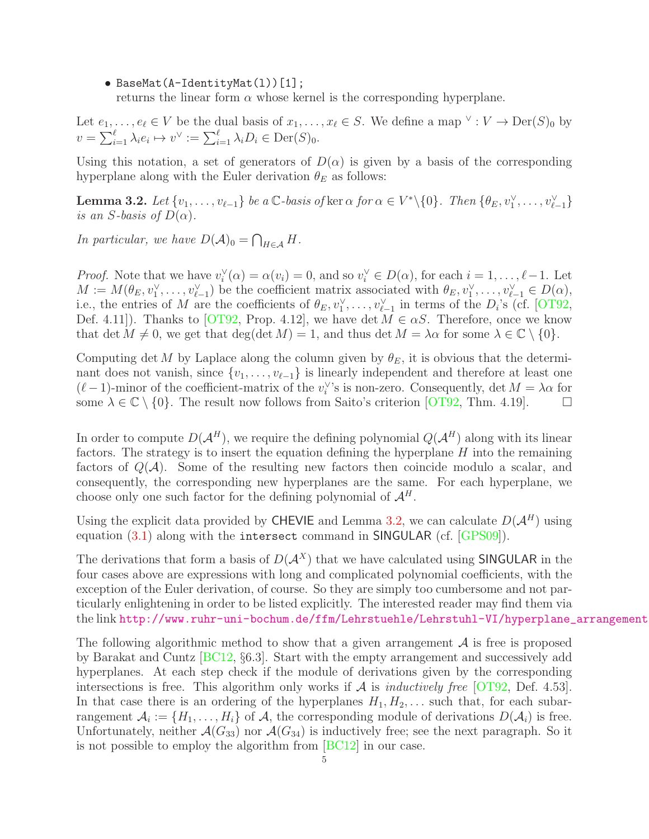## • BaseMat(A-IdentityMat(1))[1];

returns the linear form  $\alpha$  whose kernel is the corresponding hyperplane.

Let  $e_1, \ldots, e_\ell \in V$  be the dual basis of  $x_1, \ldots, x_\ell \in S$ . We define a map  $\vee : V \to \text{Der}(S)_0$  by  $v = \sum_{i=1}^{\ell} \lambda_i e_i \mapsto v^{\vee} := \sum_{i=1}^{\ell} \lambda_i D_i \in \text{Der}(S)_0.$ 

Using this notation, a set of generators of  $D(\alpha)$  is given by a basis of the corresponding hyperplane along with the Euler derivation  $\theta_E$  as follows:

<span id="page-4-0"></span>**Lemma 3.2.** Let  $\{v_1, \ldots, v_{\ell-1}\}\$  be a  $\mathbb{C}$ -basis of ker  $\alpha$  for  $\alpha \in V^* \setminus \{0\}$ . Then  $\{\theta_E, v_1^{\vee}, \ldots, v_{\ell-1}^{\vee}\}\$ is an S-basis of  $D(\alpha)$ .

In particular, we have  $D(\mathcal{A})_0 = \bigcap_{H \in \mathcal{A}} H$ .

*Proof.* Note that we have  $v_i^{\vee}$  $i<sup>V</sup>(\alpha) = \alpha(v_i) = 0$ , and so  $v_i<sup>V</sup> \in D(\alpha)$ , for each  $i = 1, ..., \ell - 1$ . Let  $M := M(\theta_E, v_1^{\vee}, \ldots, v_{\ell-1}^{\vee})$  be the coefficient matrix associated with  $\theta_E, v_1^{\vee}, \ldots, v_{\ell-1}^{\vee} \in D(\alpha)$ , i.e., the entries of M are the coefficients of  $\theta_E, v_1^{\vee}, \ldots, v_{\ell-1}^{\vee}$  in terms of the  $D_i$ 's (cf. [\[OT92,](#page-5-1) Def. 4.11]). Thanks to [\[OT92,](#page-5-1) Prop. 4.12], we have det  $M \in \alpha S$ . Therefore, once we know that det  $M \neq 0$ , we get that deg(det  $M = 1$ , and thus det  $M = \lambda \alpha$  for some  $\lambda \in \mathbb{C} \setminus \{0\}.$ 

Computing det M by Laplace along the column given by  $\theta_E$ , it is obvious that the determinant does not vanish, since  $\{v_1, \ldots, v_{\ell-1}\}\$ is linearly independent and therefore at least one  $(\ell-1)$ -minor of the coefficient-matrix of the  $v_i^{\vee}$  $i$ 's is non-zero. Consequently, det  $M = \lambda \alpha$  for some  $\lambda \in \mathbb{C} \setminus \{0\}$ . The result now follows from Saito's criterion [\[OT92,](#page-5-1) Thm. 4.19].  $\Box$ 

In order to compute  $D(A^H)$ , we require the defining polynomial  $Q(A^H)$  along with its linear factors. The strategy is to insert the equation defining the hyperplane  $H$  into the remaining factors of  $Q(\mathcal{A})$ . Some of the resulting new factors then coincide modulo a scalar, and consequently, the corresponding new hyperplanes are the same. For each hyperplane, we choose only one such factor for the defining polynomial of  $\mathcal{A}^H$ .

Using the explicit data provided by CHEVIE and Lemma [3.2,](#page-4-0) we can calculate  $D(A^H)$  using equation [\(3.1\)](#page-3-0) along with the intersect command in SINGULAR (cf. [\[GPS09\]](#page-5-6)).

The derivations that form a basis of  $D(A^X)$  that we have calculated using **SINGULAR** in the four cases above are expressions with long and complicated polynomial coefficients, with the exception of the Euler derivation, of course. So they are simply too cumbersome and not particularly enlightening in order to be listed explicitly. The interested reader may find them via the link http://www.ruhr-uni-bochum.de/ffm/Lehrstuehle/Lehrstuhl-VI/hyperplane\_arrangement

The following algorithmic method to show that a given arrangement  $A$  is free is proposed by Barakat and Cuntz [\[BC12,](#page-5-8) §6.3]. Start with the empty arrangement and successively add hyperplanes. At each step check if the module of derivations given by the corresponding intersections is free. This algorithm only works if  $A$  is *inductively free* [\[OT92,](#page-5-1) Def. 4.53]. In that case there is an ordering of the hyperplanes  $H_1, H_2, \ldots$  such that, for each subarrangement  $A_i := \{H_1, \ldots, H_i\}$  of  $A$ , the corresponding module of derivations  $D(A_i)$  is free. Unfortunately, neither  $\mathcal{A}(G_{33})$  nor  $\mathcal{A}(G_{34})$  is inductively free; see the next paragraph. So it is not possible to employ the algorithm from [\[BC12\]](#page-5-8) in our case.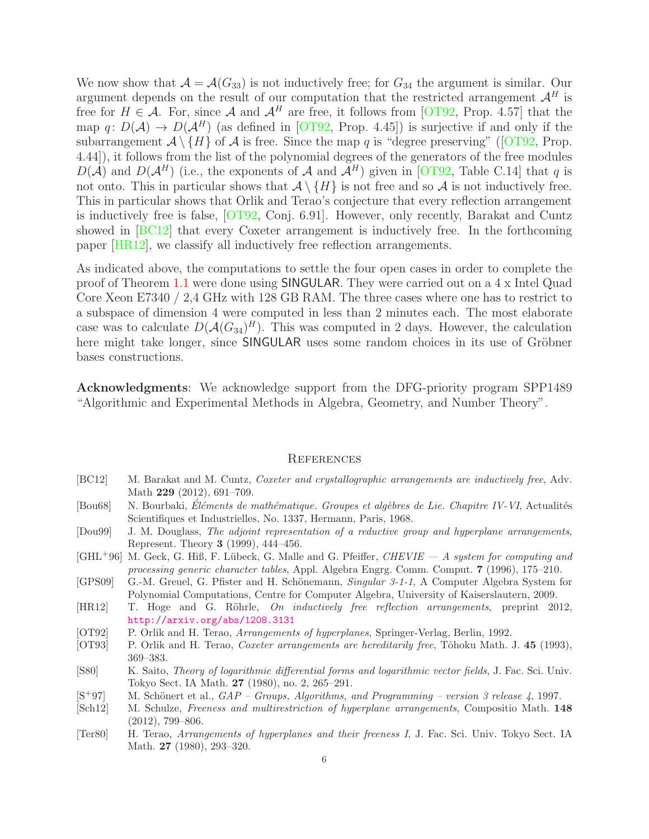We now show that  $\mathcal{A} = \mathcal{A}(G_{33})$  is not inductively free; for  $G_{34}$  the argument is similar. Our argument depends on the result of our computation that the restricted arrangement  $\mathcal{A}^H$  is free for  $H \in \mathcal{A}$ . For, since  $\mathcal{A}$  and  $\mathcal{A}^H$  are free, it follows from [\[OT92,](#page-5-1) Prop. 4.57] that the map q:  $D(\mathcal{A}) \to D(\mathcal{A}^H)$  (as defined in [\[OT92,](#page-5-1) Prop. 4.45]) is surjective if and only if the subarrangement  $\mathcal{A}\setminus\{H\}$  of  $\mathcal A$  is free. Since the map q is "degree preserving" ([\[OT92,](#page-5-1) Prop. 4.44]), it follows from the list of the polynomial degrees of the generators of the free modules  $D(\mathcal{A})$  and  $D(\mathcal{A}^H)$  (i.e., the exponents of A and  $\mathcal{A}^H$ ) given in [\[OT92,](#page-5-1) Table C.14] that q is not onto. This in particular shows that  $\mathcal{A} \setminus \{H\}$  is not free and so  $\mathcal{A}$  is not inductively free. This in particular shows that Orlik and Terao's conjecture that every reflection arrangement is inductively free is false, [\[OT92,](#page-5-1) Conj. 6.91]. However, only recently, Barakat and Cuntz showed in [\[BC12\]](#page-5-8) that every Coxeter arrangement is inductively free. In the forthcoming paper [\[HR12\]](#page-5-9), we classify all inductively free reflection arrangements.

As indicated above, the computations to settle the four open cases in order to complete the proof of Theorem [1.1](#page-0-0) were done using SINGULAR. They were carried out on a 4 x Intel Quad Core Xeon E7340 / 2,4 GHz with 128 GB RAM. The three cases where one has to restrict to a subspace of dimension 4 were computed in less than 2 minutes each. The most elaborate case was to calculate  $D(A(G_{34})^H)$ . This was computed in 2 days. However, the calculation here might take longer, since SINGULAR uses some random choices in its use of Gröbner bases constructions.

Acknowledgments: We acknowledge support from the DFG-priority program SPP1489 "Algorithmic and Experimental Methods in Algebra, Geometry, and Number Theory".

#### **REFERENCES**

- <span id="page-5-8"></span>[BC12] M. Barakat and M. Cuntz, Coxeter and crystallographic arrangements are inductively free, Adv. Math 229 (2012), 691-709.
- <span id="page-5-11"></span>[Bou68] N. Bourbaki, Éléments de mathématique. Groupes et algèbres de Lie. Chapitre IV-VI, Actualités Scientifiques et Industrielles, No. 1337, Hermann, Paris, 1968.
- <span id="page-5-3"></span>[Dou99] J. M. Douglass, The adjoint representation of a reductive group and hyperplane arrangements, Represent. Theory 3 (1999), 444–456.
- <span id="page-5-5"></span> $[GHL^+96]$  M. Geck, G. Hiß, F. Lübeck, G. Malle and G. Pfeiffer,  $CHEVIE - A$  system for computing and processing generic character tables, Appl. Algebra Engrg. Comm. Comput. 7 (1996), 175–210.
- <span id="page-5-6"></span>[GPS09] G.-M. Greuel, G. Pfister and H. Schönemann, Singular 3-1-1, A Computer Algebra System for Polynomial Computations, Centre for Computer Algebra, University of Kaiserslautern, 2009.
- <span id="page-5-9"></span>[HR12] T. Hoge and G. Röhrle, *On inductively free reflection arrangements*, preprint 2012, <http://arxiv.org/abs/1208.3131>
- <span id="page-5-1"></span>[OT92] P. Orlik and H. Terao, *Arrangements of hyperplanes*, Springer-Verlag, Berlin, 1992.
- <span id="page-5-2"></span>[OT93] P. Orlik and H. Terao, *Coxeter arrangements are hereditarily free*, Tôhoku Math. J. 45 (1993), 369–383.
- <span id="page-5-7"></span>[S80] K. Saito, Theory of logarithmic differential forms and logarithmic vector fields, J. Fac. Sci. Univ. Tokyo Sect. IA Math. 27 (1980), no. 2, 265–291.
- <span id="page-5-4"></span> $[S^+97]$  M. Schönert et al.,  $GAP - Groups$ , Algorithms, and Programming – version 3 release 4, 1997.
- <span id="page-5-10"></span>[Sch12] M. Schulze, Freeness and multirestriction of hyperplane arrangements, Compositio Math. 148 (2012), 799–806.
- <span id="page-5-0"></span>[Ter80] H. Terao, Arrangements of hyperplanes and their freeness I, J. Fac. Sci. Univ. Tokyo Sect. IA Math. 27 (1980), 293–320.